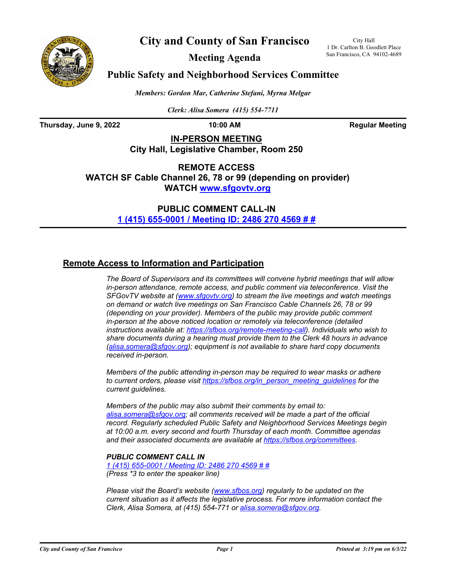



**Meeting Agenda**

City Hall 1 Dr. Carlton B. Goodlett Place San Francisco, CA 94102-4689

### **Public Safety and Neighborhood Services Committee**

*Members: Gordon Mar, Catherine Stefani, Myrna Melgar*

*Clerk: Alisa Somera (415) 554-7711*

**Thursday, June 9, 2022 10:00 AM Regular Meeting** 

**IN-PERSON MEETING City Hall, Legislative Chamber, Room 250**

**REMOTE ACCESS WATCH SF Cable Channel 26, 78 or 99 (depending on provider) WATCH<www.sfgovtv.org>**

> **PUBLIC COMMENT CALL-IN [1 \(415\) 655-0001 / Meeting ID: 2486 270 4569 # #](tel:+14156550001,,24862704569#,,#)**

### **Remote Access to Information and Participation**

*The Board of Supervisors and its committees will convene hybrid meetings that will allow in-person attendance, remote access, and public comment via teleconference. Visit the SFGovTV website at [\(www.sfgovtv.org\)](www.sfgovtv.org) to stream the live meetings and watch meetings on demand or watch live meetings on San Francisco Cable Channels 26, 78 or 99 (depending on your provider). Members of the public may provide public comment in-person at the above noticed location or remotely via teleconference (detailed instructions available at: [https://sfbos.org/remote-meeting-call\).](https://sfbos.org/remote-meeting-call) Individuals who wish to share documents during a hearing must provide them to the Clerk 48 hours in advance [\(alisa.somera@sfgov.org\);](mailto:alisa.somera@sfgov.org) equipment is not available to share hard copy documents received in-person.*

*Members of the public attending in-person may be required to wear masks or adhere to current orders, please visit [https://sfbos.org/in\\_person\\_meeting\\_guidelines](https://sfbos.org/in_person_meeting_guidelines) for the current guidelines.*

*Members of the public may also submit their comments by email to: [alisa.somera@sfgov.org;](mailto:alisa.somera@sfgov.org) all comments received will be made a part of the official record. Regularly scheduled Public Safety and Neighborhood Services Meetings begin at 10:00 a.m. every second and fourth Thursday of each month. Committee agendas and their associated documents are available at [https://sfbos.org/committees.](https://sfbos.org/committees)*

### *PUBLIC COMMENT CALL IN*

*[1 \(415\) 655-0001 / Meeting ID: 2486 270 4569 # #](tel:+14156550001,,24862704569#,,#) (Press \*3 to enter the speaker line)*

*Please visit the Board's website [\(www.sfbos.org\)](www.sfbos.org) regularly to be updated on the current situation as it affects the legislative process. For more information contact the Clerk, Alisa Somera, at (415) 554-771 or [alisa.somera@sfgov.org.](mailto:alisa.somera@sfgov.org)*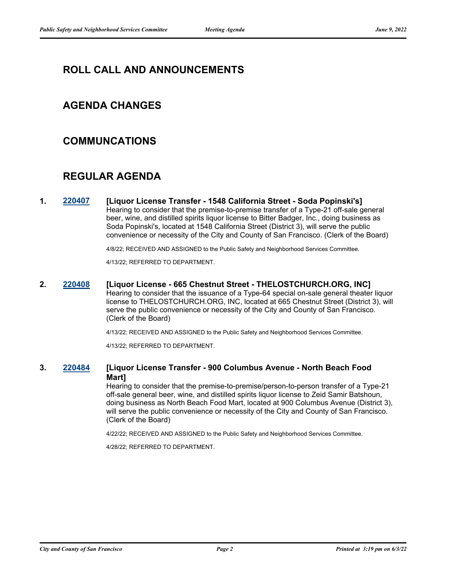# **ROLL CALL AND ANNOUNCEMENTS**

### **AGENDA CHANGES**

### **COMMUNCATIONS**

# **REGULAR AGENDA**

**1. [220407](http://sfgov.legistar.com/gateway.aspx?m=l&id=38599) [Liquor License Transfer - 1548 California Street - Soda Popinski's]** Hearing to consider that the premise-to-premise transfer of a Type-21 off-sale general beer, wine, and distilled spirits liquor license to Bitter Badger, Inc., doing business as Soda Popinski's, located at 1548 California Street (District 3), will serve the public convenience or necessity of the City and County of San Francisco. (Clerk of the Board)

4/8/22; RECEIVED AND ASSIGNED to the Public Safety and Neighborhood Services Committee.

4/13/22; REFERRED TO DEPARTMENT.

**2. [220408](http://sfgov.legistar.com/gateway.aspx?m=l&id=38600) [Liquor License - 665 Chestnut Street - THELOSTCHURCH.ORG, INC]**

Hearing to consider that the issuance of a Type-64 special on-sale general theater liquor license to THELOSTCHURCH.ORG, INC, located at 665 Chestnut Street (District 3), will serve the public convenience or necessity of the City and County of San Francisco. (Clerk of the Board)

4/13/22; RECEIVED AND ASSIGNED to the Public Safety and Neighborhood Services Committee.

4/13/22; REFERRED TO DEPARTMENT.

### **3. [220484](http://sfgov.legistar.com/gateway.aspx?m=l&id=38676) [Liquor License Transfer - 900 Columbus Avenue - North Beach Food Mart]**

Hearing to consider that the premise-to-premise/person-to-person transfer of a Type-21 off-sale general beer, wine, and distilled spirits liquor license to Zeid Samir Batshoun, doing business as North Beach Food Mart, located at 900 Columbus Avenue (District 3), will serve the public convenience or necessity of the City and County of San Francisco. (Clerk of the Board)

4/22/22; RECEIVED AND ASSIGNED to the Public Safety and Neighborhood Services Committee.

4/28/22; REFERRED TO DEPARTMENT.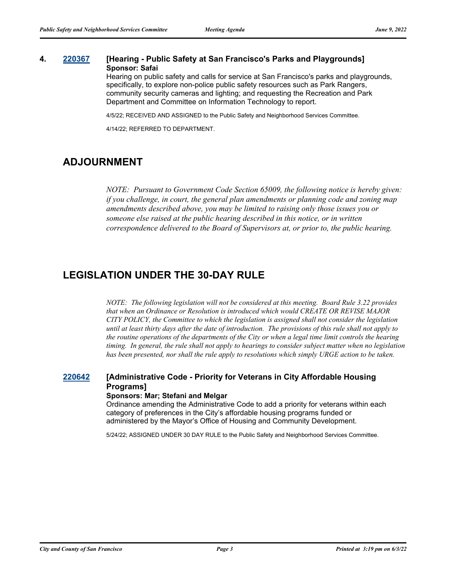### **4. [220367](http://sfgov.legistar.com/gateway.aspx?m=l&id=38559) [Hearing - Public Safety at San Francisco's Parks and Playgrounds] Sponsor: Safai**

Hearing on public safety and calls for service at San Francisco's parks and playgrounds, specifically, to explore non-police public safety resources such as Park Rangers, community security cameras and lighting; and requesting the Recreation and Park Department and Committee on Information Technology to report.

4/5/22; RECEIVED AND ASSIGNED to the Public Safety and Neighborhood Services Committee.

4/14/22; REFERRED TO DEPARTMENT.

## **ADJOURNMENT**

*NOTE: Pursuant to Government Code Section 65009, the following notice is hereby given: if you challenge, in court, the general plan amendments or planning code and zoning map amendments described above, you may be limited to raising only those issues you or someone else raised at the public hearing described in this notice, or in written correspondence delivered to the Board of Supervisors at, or prior to, the public hearing.*

# **LEGISLATION UNDER THE 30-DAY RULE**

*NOTE: The following legislation will not be considered at this meeting. Board Rule 3.22 provides that when an Ordinance or Resolution is introduced which would CREATE OR REVISE MAJOR CITY POLICY, the Committee to which the legislation is assigned shall not consider the legislation until at least thirty days after the date of introduction. The provisions of this rule shall not apply to the routine operations of the departments of the City or when a legal time limit controls the hearing timing. In general, the rule shall not apply to hearings to consider subject matter when no legislation has been presented, nor shall the rule apply to resolutions which simply URGE action to be taken.*

### **[220642](http://sfgov.legistar.com/gateway.aspx?m=l&id=38834) [Administrative Code - Priority for Veterans in City Affordable Housing Programs] Sponsors: Mar; Stefani and Melgar**

Ordinance amending the Administrative Code to add a priority for veterans within each category of preferences in the City's affordable housing programs funded or administered by the Mayor's Office of Housing and Community Development.

5/24/22; ASSIGNED UNDER 30 DAY RULE to the Public Safety and Neighborhood Services Committee.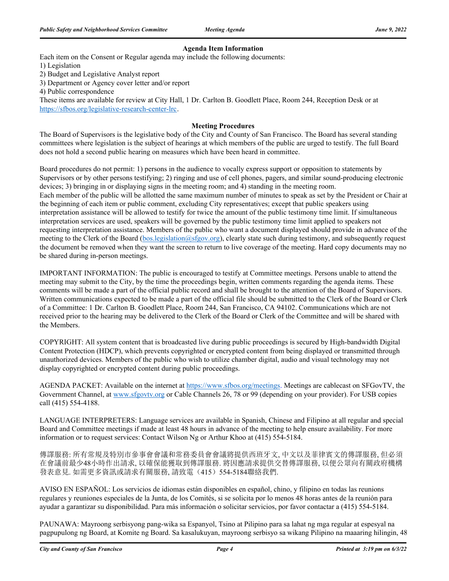#### **Agenda Item Information**

Each item on the Consent or Regular agenda may include the following documents:

1) Legislation

2) Budget and Legislative Analyst report

3) Department or Agency cover letter and/or report

4) Public correspondence

These items are available for review at City Hall, 1 Dr. Carlton B. Goodlett Place, Room 244, Reception Desk or at https://sfbos.org/legislative-research-center-lrc.

#### **Meeting Procedures**

The Board of Supervisors is the legislative body of the City and County of San Francisco. The Board has several standing committees where legislation is the subject of hearings at which members of the public are urged to testify. The full Board does not hold a second public hearing on measures which have been heard in committee.

Board procedures do not permit: 1) persons in the audience to vocally express support or opposition to statements by Supervisors or by other persons testifying; 2) ringing and use of cell phones, pagers, and similar sound-producing electronic devices; 3) bringing in or displaying signs in the meeting room; and 4) standing in the meeting room. Each member of the public will be allotted the same maximum number of minutes to speak as set by the President or Chair at the beginning of each item or public comment, excluding City representatives; except that public speakers using interpretation assistance will be allowed to testify for twice the amount of the public testimony time limit. If simultaneous interpretation services are used, speakers will be governed by the public testimony time limit applied to speakers not requesting interpretation assistance. Members of the public who want a document displayed should provide in advance of the meeting to the Clerk of the Board (bos.legislation@sfgov.org), clearly state such during testimony, and subsequently request the document be removed when they want the screen to return to live coverage of the meeting. Hard copy documents may no be shared during in-person meetings.

IMPORTANT INFORMATION: The public is encouraged to testify at Committee meetings. Persons unable to attend the meeting may submit to the City, by the time the proceedings begin, written comments regarding the agenda items. These comments will be made a part of the official public record and shall be brought to the attention of the Board of Supervisors. Written communications expected to be made a part of the official file should be submitted to the Clerk of the Board or Clerk of a Committee: 1 Dr. Carlton B. Goodlett Place, Room 244, San Francisco, CA 94102. Communications which are not received prior to the hearing may be delivered to the Clerk of the Board or Clerk of the Committee and will be shared with the Members.

COPYRIGHT: All system content that is broadcasted live during public proceedings is secured by High-bandwidth Digital Content Protection (HDCP), which prevents copyrighted or encrypted content from being displayed or transmitted through unauthorized devices. Members of the public who wish to utilize chamber digital, audio and visual technology may not display copyrighted or encrypted content during public proceedings.

AGENDA PACKET: Available on the internet at https://www.sfbos.org/meetings. Meetings are cablecast on SFGovTV, the Government Channel, at www.sfgovtv.org or Cable Channels 26, 78 or 99 (depending on your provider). For USB copies call (415) 554-4188.

LANGUAGE INTERPRETERS: Language services are available in Spanish, Chinese and Filipino at all regular and special Board and Committee meetings if made at least 48 hours in advance of the meeting to help ensure availability. For more information or to request services: Contact Wilson Ng or Arthur Khoo at (415) 554-5184.

傳譯服務: 所有常規及特別市參事會會議和常務委員會會議將提供西班牙文, 中文以及菲律賓文的傳譯服務, 但必須 在會議前最少48小時作出請求, 以確保能獲取到傳譯服務. 將因應請求提供交替傳譯服務, 以便公眾向有關政府機構 發表意見. 如需更多資訊或請求有關服務, 請致電(415) 554-5184聯絡我們.

AVISO EN ESPAÑOL: Los servicios de idiomas están disponibles en español, chino, y filipino en todas las reunions regulares y reuniones especiales de la Junta, de los Comités, si se solicita por lo menos 48 horas antes de la reunión para ayudar a garantizar su disponibilidad. Para más información o solicitar servicios, por favor contactar a (415) 554-5184.

PAUNAWA: Mayroong serbisyong pang-wika sa Espanyol, Tsino at Pilipino para sa lahat ng mga regular at espesyal na pagpupulong ng Board, at Komite ng Board. Sa kasalukuyan, mayroong serbisyo sa wikang Pilipino na maaaring hilingin, 48